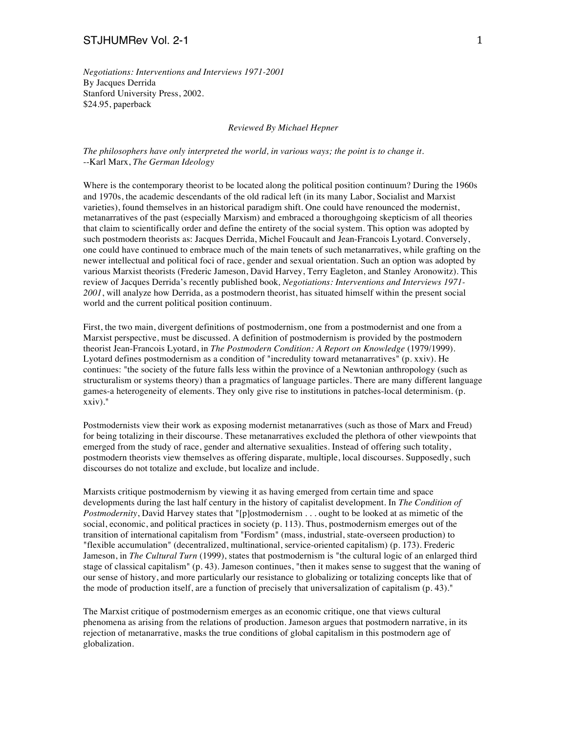*Negotiations: Interventions and Interviews 1971-2001* By Jacques Derrida Stanford University Press, 2002. \$24.95, paperback

*Reviewed By Michael Hepner*

*The philosophers have only interpreted the world, in various ways; the point is to change it.* --Karl Marx, *The German Ideology*

Where is the contemporary theorist to be located along the political position continuum? During the 1960s and 1970s, the academic descendants of the old radical left (in its many Labor, Socialist and Marxist varieties), found themselves in an historical paradigm shift. One could have renounced the modernist, metanarratives of the past (especially Marxism) and embraced a thoroughgoing skepticism of all theories that claim to scientifically order and define the entirety of the social system. This option was adopted by such postmodern theorists as: Jacques Derrida, Michel Foucault and Jean-Francois Lyotard. Conversely, one could have continued to embrace much of the main tenets of such metanarratives, while grafting on the newer intellectual and political foci of race, gender and sexual orientation. Such an option was adopted by various Marxist theorists (Frederic Jameson, David Harvey, Terry Eagleton, and Stanley Aronowitz). This review of Jacques Derrida's recently published book*, Negotiations: Interventions and Interviews 1971- 2001*, will analyze how Derrida, as a postmodern theorist, has situated himself within the present social world and the current political position continuum.

First, the two main, divergent definitions of postmodernism, one from a postmodernist and one from a Marxist perspective, must be discussed. A definition of postmodernism is provided by the postmodern theorist Jean-Francois Lyotard, in *The Postmodern Condition: A Report on Knowledge* (1979/1999). Lyotard defines postmodernism as a condition of "incredulity toward metanarratives" (p. xxiv). He continues: "the society of the future falls less within the province of a Newtonian anthropology (such as structuralism or systems theory) than a pragmatics of language particles. There are many different language games-a heterogeneity of elements. They only give rise to institutions in patches-local determinism. (p. xxiv)."

Postmodernists view their work as exposing modernist metanarratives (such as those of Marx and Freud) for being totalizing in their discourse. These metanarratives excluded the plethora of other viewpoints that emerged from the study of race, gender and alternative sexualities. Instead of offering such totality, postmodern theorists view themselves as offering disparate, multiple, local discourses. Supposedly, such discourses do not totalize and exclude, but localize and include.

Marxists critique postmodernism by viewing it as having emerged from certain time and space developments during the last half century in the history of capitalist development. In *The Condition of Postmodernity*, David Harvey states that "[p]ostmodernism . . . ought to be looked at as mimetic of the social, economic, and political practices in society (p. 113). Thus, postmodernism emerges out of the transition of international capitalism from "Fordism" (mass, industrial, state-overseen production) to "flexible accumulation" (decentralized, multinational, service-oriented capitalism) (p. 173). Frederic Jameson, in *The Cultural Turn* (1999), states that postmodernism is "the cultural logic of an enlarged third stage of classical capitalism" (p. 43). Jameson continues, "then it makes sense to suggest that the waning of our sense of history, and more particularly our resistance to globalizing or totalizing concepts like that of the mode of production itself, are a function of precisely that universalization of capitalism (p. 43)."

The Marxist critique of postmodernism emerges as an economic critique, one that views cultural phenomena as arising from the relations of production. Jameson argues that postmodern narrative, in its rejection of metanarrative, masks the true conditions of global capitalism in this postmodern age of globalization.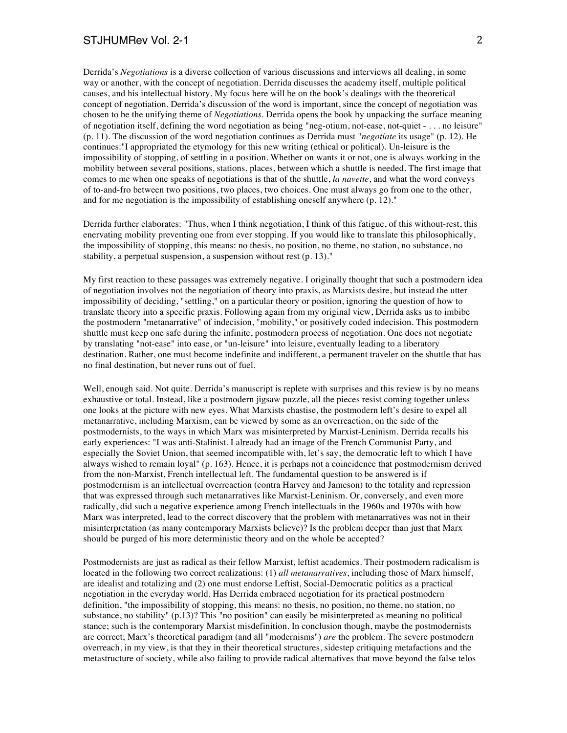Derrida's *Negotiations* is a diverse collection of various discussions and interviews all dealing, in some way or another, with the concept of negotiation. Derrida discusses the academy itself, multiple political causes, and his intellectual history. My focus here will be on the book's dealings with the theoretical concept of negotiation. Derrida's discussion of the word is important, since the concept of negotiation was chosen to be the unifying theme of *Negotiations.* Derrida opens the book by unpacking the surface meaning of negotiation itself, defining the word negotiation as being "neg-otium, not-ease, not-quiet - . . . no leisure" (p. 11). The discussion of the word negotiation continues as Derrida must "*negotiate* its usage" (p. 12). He continues:"I appropriated the etymology for this new writing (ethical or political). Un-leisure is the impossibility of stopping, of settling in a position. Whether on wants it or not, one is always working in the mobility between several positions, stations, places, between which a shuttle is needed. The first image that comes to me when one speaks of negotiations is that of the shuttle, *la navette*, and what the word conveys of to-and-fro between two positions, two places, two choices. One must always go from one to the other, and for me negotiation is the impossibility of establishing oneself anywhere (p. 12)."

Derrida further elaborates: "Thus, when I think negotiation, I think of this fatigue, of this without-rest, this enervating mobility preventing one from ever stopping. If you would like to translate this philosophically, the impossibility of stopping, this means: no thesis, no position, no theme, no station, no substance, no stability, a perpetual suspension, a suspension without rest (p. 13)."

My first reaction to these passages was extremely negative. I originally thought that such a postmodern idea of negotiation involves not the negotiation of theory into praxis, as Marxists desire, but instead the utter impossibility of deciding, "settling," on a particular theory or position, ignoring the question of how to translate theory into a specific praxis. Following again from my original view, Derrida asks us to imbibe the postmodern "metanarrative" of indecision, "mobility," or positively coded indecision. This postmodern shuttle must keep one safe during the infinite, postmodern process of negotiation. One does not negotiate by translating "not-ease" into ease, or "un-leisure" into leisure, eventually leading to a liberatory destination. Rather, one must become indefinite and indifferent, a permanent traveler on the shuttle that has no final destination, but never runs out of fuel.

Well, enough said. Not quite. Derrida's manuscript is replete with surprises and this review is by no means exhaustive or total. Instead, like a postmodern jigsaw puzzle, all the pieces resist coming together unless one looks at the picture with new eyes. What Marxists chastise, the postmodern left's desire to expel all metanarrative, including Marxism, can be viewed by some as an overreaction, on the side of the postmodernists, to the ways in which Marx was misinterpreted by Marxist-Leninism. Derrida recalls his early experiences: "I was anti-Stalinist. I already had an image of the French Communist Party, and especially the Soviet Union, that seemed incompatible with, let's say, the democratic left to which I have always wished to remain loyal" (p. 163). Hence, it is perhaps not a coincidence that postmodernism derived from the non-Marxist, French intellectual left. The fundamental question to be answered is if postmodernism is an intellectual overreaction (contra Harvey and Jameson) to the totality and repression that was expressed through such metanarratives like Marxist-Leninism. Or, conversely, and even more radically, did such a negative experience among French intellectuals in the 1960s and 1970s with how Marx was interpreted, lead to the correct discovery that the problem with metanarratives was not in their misinterpretation (as many contemporary Marxists believe)? Is the problem deeper than just that Marx should be purged of his more deterministic theory and on the whole be accepted?

Postmodernists are just as radical as their fellow Marxist, leftist academics. Their postmodern radicalism is located in the following two correct realizations: (1) *all metanarratives*, including those of Marx himself, are idealist and totalizing and (2) one must endorse Leftist, Social-Democratic politics as a practical negotiation in the everyday world. Has Derrida embraced negotiation for its practical postmodern definition, "the impossibility of stopping, this means: no thesis, no position, no theme, no station, no substance, no stability" (p.13)? This "no position" can easily be misinterpreted as meaning no political stance; such is the contemporary Marxist misdefinition. In conclusion though, maybe the postmodernists are correct; Marx's theoretical paradigm (and all "modernisms") *are* the problem. The severe postmodern overreach, in my view, is that they in their theoretical structures, sidestep critiquing metafactions and the metastructure of society, while also failing to provide radical alternatives that move beyond the false telos